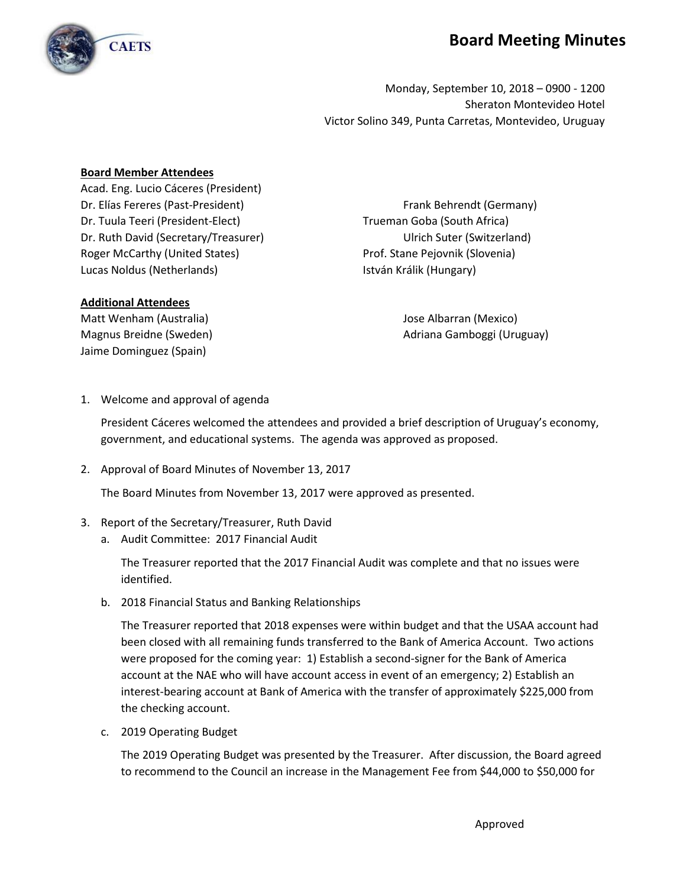## **Board Meeting Minutes**



Monday, September 10, 2018 – 0900 - 1200 Sheraton Montevideo Hotel Victor Solino 349, Punta Carretas, Montevideo, Uruguay

## **Board Member Attendees**

Acad. Eng. Lucio Cáceres (President) Dr. Elías Fereres (Past-President) Frank Behrendt (Germany) Dr. Tuula Teeri (President-Elect) Trueman Goba (South Africa) Dr. Ruth David (Secretary/Treasurer) Ulrich Suter (Switzerland) Roger McCarthy (United States) Note and the Prof. Stane Pejovnik (Slovenia) Lucas Noldus (Netherlands) **István Králik (Hungary)** 

## **Additional Attendees**

Matt Wenham (Australia) Jose Albarran (Mexico) Jaime Dominguez (Spain)

Magnus Breidne (Sweden) **Adriana Gamboggi (Uruguay**) **Magnus Breidne** 

1. Welcome and approval of agenda

President Cáceres welcomed the attendees and provided a brief description of Uruguay's economy, government, and educational systems. The agenda was approved as proposed.

2. Approval of Board Minutes of November 13, 2017

The Board Minutes from November 13, 2017 were approved as presented.

## 3. Report of the Secretary/Treasurer, Ruth David

a. Audit Committee: 2017 Financial Audit

The Treasurer reported that the 2017 Financial Audit was complete and that no issues were identified.

b. 2018 Financial Status and Banking Relationships

The Treasurer reported that 2018 expenses were within budget and that the USAA account had been closed with all remaining funds transferred to the Bank of America Account. Two actions were proposed for the coming year: 1) Establish a second-signer for the Bank of America account at the NAE who will have account access in event of an emergency; 2) Establish an interest-bearing account at Bank of America with the transfer of approximately \$225,000 from the checking account.

c. 2019 Operating Budget

The 2019 Operating Budget was presented by the Treasurer. After discussion, the Board agreed to recommend to the Council an increase in the Management Fee from \$44,000 to \$50,000 for

Approved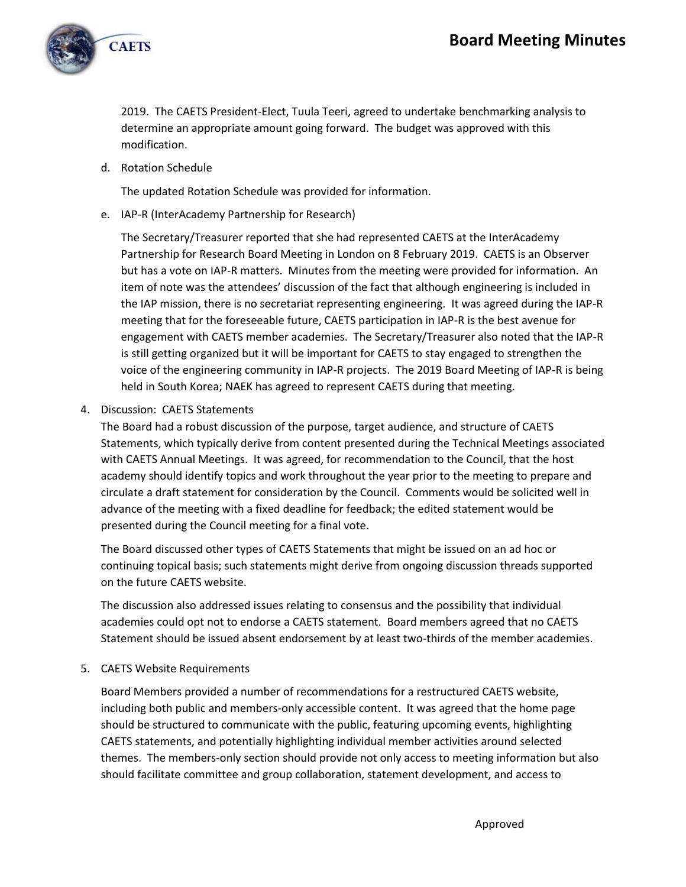

2019. The CAETS President-Elect, Tuula Teeri, agreed to undertake benchmarking analysis to determine an appropriate amount going forward. The budget was approved with this modification.

d. Rotation Schedule

The updated Rotation Schedule was provided for information.

e. IAP-R (InterAcademy Partnership for Research)

The Secretary/Treasurer reported that she had represented CAETS at the InterAcademy Partnership for Research Board Meeting in London on 8 February 2019. CAETS is an Observer but has a vote on IAP-R matters. Minutes from the meeting were provided for information. An item of note was the attendees' discussion of the fact that although engineering is included in the IAP mission, there is no secretariat representing engineering. It was agreed during the IAP-R meeting that for the foreseeable future, CAETS participation in IAP-R is the best avenue for engagement with CAETS member academies. The Secretary/Treasurer also noted that the IAP-R is still getting organized but it will be important for CAETS to stay engaged to strengthen the voice of the engineering community in IAP-R projects. The 2019 Board Meeting of IAP-R is being held in South Korea; NAEK has agreed to represent CAETS during that meeting.

4. Discussion: CAETS Statements

The Board had a robust discussion of the purpose, target audience, and structure of CAETS Statements, which typically derive from content presented during the Technical Meetings associated with CAETS Annual Meetings. It was agreed, for recommendation to the Council, that the host academy should identify topics and work throughout the year prior to the meeting to prepare and circulate a draft statement for consideration by the Council. Comments would be solicited well in advance of the meeting with a fixed deadline for feedback; the edited statement would be presented during the Council meeting for a final vote.

The Board discussed other types of CAETS Statements that might be issued on an ad hoc or continuing topical basis; such statements might derive from ongoing discussion threads supported on the future CAETS website.

The discussion also addressed issues relating to consensus and the possibility that individual academies could opt not to endorse a CAETS statement. Board members agreed that no CAETS Statement should be issued absent endorsement by at least two-thirds of the member academies.

5. CAETS Website Requirements

Board Members provided a number of recommendations for a restructured CAETS website, including both public and members-only accessible content. It was agreed that the home page should be structured to communicate with the public, featuring upcoming events, highlighting CAETS statements, and potentially highlighting individual member activities around selected themes. The members-only section should provide not only access to meeting information but also should facilitate committee and group collaboration, statement development, and access to